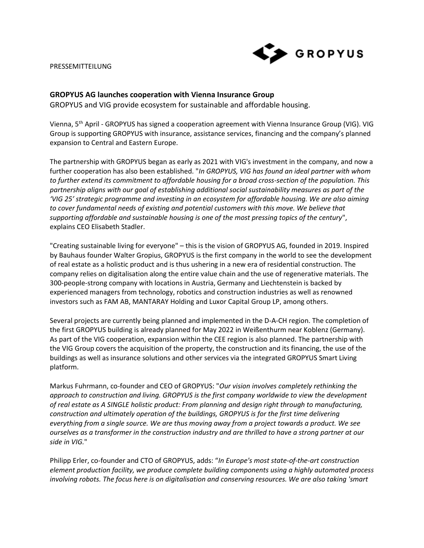## PRESSEMITTEILUNG



## **GROPYUS AG launches cooperation with Vienna Insurance Group**

GROPYUS and VIG provide ecosystem for sustainable and affordable housing.

Vienna, 5th April - GROPYUS has signed a cooperation agreement with Vienna Insurance Group (VIG). VIG Group is supporting GROPYUS with insurance, assistance services, financing and the company's planned expansion to Central and Eastern Europe.

The partnership with GROPYUS began as early as 2021 with VIG's investment in the company, and now a further cooperation has also been established. "*In GROPYUS, VIG has found an ideal partner with whom to further extend its commitment to affordable housing for a broad cross-section of the population. This partnership aligns with our goal of establishing additional social sustainability measures as part of the 'VIG 25' strategic programme and investing in an ecosystem for affordable housing. We are also aiming to cover fundamental needs of existing and potential customers with this move. We believe that supporting affordable and sustainable housing is one of the most pressing topics of the century*", explains CEO Elisabeth Stadler.

"Creating sustainable living for everyone" – this is the vision of GROPYUS AG, founded in 2019. Inspired by Bauhaus founder Walter Gropius, GROPYUS is the first company in the world to see the development of real estate as a holistic product and is thus ushering in a new era of residential construction. The company relies on digitalisation along the entire value chain and the use of regenerative materials. The 300-people-strong company with locations in Austria, Germany and Liechtenstein is backed by experienced managers from technology, robotics and construction industries as well as renowned investors such as FAM AB, MANTARAY Holding and Luxor Capital Group LP, among others.

Several projects are currently being planned and implemented in the D-A-CH region. The completion of the first GROPYUS building is already planned for May 2022 in Weißenthurm near Koblenz (Germany). As part of the VIG cooperation, expansion within the CEE region is also planned. The partnership with the VIG Group covers the acquisition of the property, the construction and its financing, the use of the buildings as well as insurance solutions and other services via the integrated GROPYUS Smart Living platform.

Markus Fuhrmann, co-founder and CEO of GROPYUS: "*Our vision involves completely rethinking the approach to construction and living. GROPYUS is the first company worldwide to view the development of real estate as A SINGLE holistic product: From planning and design right through to manufacturing, construction and ultimately operation of the buildings, GROPYUS is for the first time delivering everything from a single source. We are thus moving away from a project towards a product. We see ourselves as a transformer in the construction industry and are thrilled to have a strong partner at our side in VIG.*"

Philipp Erler, co-founder and CTO of GROPYUS, adds: "*In Europe's most state-of-the-art construction element production facility, we produce complete building components using a highly automated process involving robots. The focus here is on digitalisation and conserving resources. We are also taking 'smart*